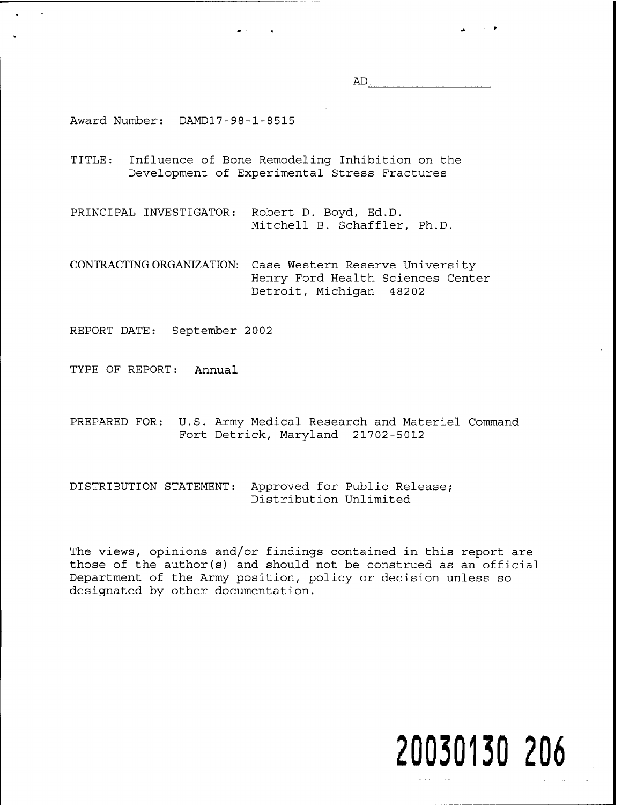AD

Award Number: DAMD17-98-1-8515

- TITLE: Influence of Bone Remodeling Inhibition on the Development of Experimental Stress Fractures
- PRINCIPAL INVESTIGATOR: Robert D. Boyd, Ed.D. Mitchell B. Schaffler, Ph.D.

CONTRACTING ORGANIZATION: Case Western Reserve University Henry Ford Health Sciences Center Detroit, Michigan 48202

REPORT DATE: September 2002

TYPE OF REPORT: Annual

- PREPARED FOR: U.S. Army Medical Research and Materiel Command Fort Detrick, Maryland 21702-5012
- DISTRIBUTION STATEMENT: Approved for Public Release; Distribution Unlimited

The views, opinions and/or findings contained in this report are those of the author(s) and should not be construed as an official Department of the Army position, policy or decision unless so designated by other documentation.

# **20030130 206**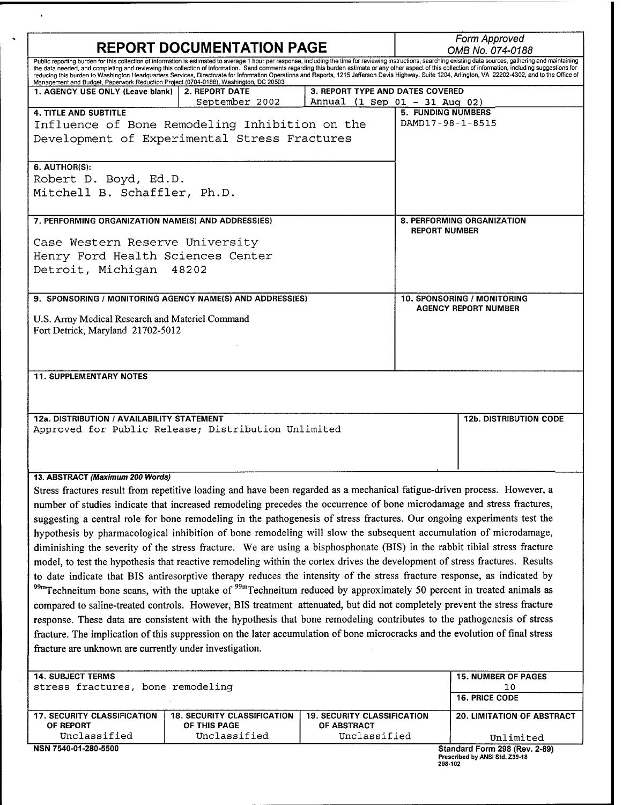| <b>REPORT DOCUMENTATION PAGE</b>                                                                                                                                                                                                                                                                                                                                                                                                                                                                                                                                                                                                           |                                                                                                                                  |                                                   |                                                    | Form Approved<br>OMB No. 074-0188                               |  |  |
|--------------------------------------------------------------------------------------------------------------------------------------------------------------------------------------------------------------------------------------------------------------------------------------------------------------------------------------------------------------------------------------------------------------------------------------------------------------------------------------------------------------------------------------------------------------------------------------------------------------------------------------------|----------------------------------------------------------------------------------------------------------------------------------|---------------------------------------------------|----------------------------------------------------|-----------------------------------------------------------------|--|--|
| Public reporting burden for this collection of information is estimated to average 1 hour per response, including the time for reviewing instructions, searching existing data sources, gathering and maintaining<br>the data needed, and completing and reviewing this collection of information. Send comments regarding this burden estimate or any other aspect of this collection of information, including suggestions for<br>reducing this burden to Washington Headquarters Services, Directorate for Information Operations and Reports, 1215 Jefferson Davis Highway, Suite 1204, Arlington, VA 22202-4302, and to the Office of |                                                                                                                                  |                                                   |                                                    |                                                                 |  |  |
| Management and Budget, Paperwork Reduction Project (0704-0188), Washington, DC 20503<br>1. AGENCY USE ONLY (Leave blank)                                                                                                                                                                                                                                                                                                                                                                                                                                                                                                                   | <b>2. REPORT DATE</b>                                                                                                            | <b>3. REPORT TYPE AND DATES COVERED</b>           |                                                    |                                                                 |  |  |
|                                                                                                                                                                                                                                                                                                                                                                                                                                                                                                                                                                                                                                            | September 2002                                                                                                                   | Annual (1 Sep 01 - 31 Aug 02)                     |                                                    |                                                                 |  |  |
| <b>4. TITLE AND SUBTITLE</b>                                                                                                                                                                                                                                                                                                                                                                                                                                                                                                                                                                                                               |                                                                                                                                  |                                                   | <b>5. FUNDING NUMBERS</b><br>DAMD17-98-1-8515      |                                                                 |  |  |
| Influence of Bone Remodeling Inhibition on the<br>Development of Experimental Stress Fractures                                                                                                                                                                                                                                                                                                                                                                                                                                                                                                                                             |                                                                                                                                  |                                                   |                                                    |                                                                 |  |  |
|                                                                                                                                                                                                                                                                                                                                                                                                                                                                                                                                                                                                                                            |                                                                                                                                  |                                                   |                                                    |                                                                 |  |  |
| 6. AUTHOR(S):                                                                                                                                                                                                                                                                                                                                                                                                                                                                                                                                                                                                                              |                                                                                                                                  |                                                   |                                                    |                                                                 |  |  |
| Robert D. Boyd, Ed.D.                                                                                                                                                                                                                                                                                                                                                                                                                                                                                                                                                                                                                      |                                                                                                                                  |                                                   |                                                    |                                                                 |  |  |
| Mitchell B. Schaffler, Ph.D.                                                                                                                                                                                                                                                                                                                                                                                                                                                                                                                                                                                                               |                                                                                                                                  |                                                   |                                                    |                                                                 |  |  |
| 7. PERFORMING ORGANIZATION NAME(S) AND ADDRESS(ES)                                                                                                                                                                                                                                                                                                                                                                                                                                                                                                                                                                                         |                                                                                                                                  |                                                   | 8. PERFORMING ORGANIZATION<br><b>REPORT NUMBER</b> |                                                                 |  |  |
| Case Western Reserve University                                                                                                                                                                                                                                                                                                                                                                                                                                                                                                                                                                                                            |                                                                                                                                  |                                                   |                                                    |                                                                 |  |  |
|                                                                                                                                                                                                                                                                                                                                                                                                                                                                                                                                                                                                                                            | Henry Ford Health Sciences Center                                                                                                |                                                   |                                                    |                                                                 |  |  |
| Detroit, Michigan 48202                                                                                                                                                                                                                                                                                                                                                                                                                                                                                                                                                                                                                    |                                                                                                                                  |                                                   |                                                    |                                                                 |  |  |
|                                                                                                                                                                                                                                                                                                                                                                                                                                                                                                                                                                                                                                            |                                                                                                                                  |                                                   |                                                    |                                                                 |  |  |
|                                                                                                                                                                                                                                                                                                                                                                                                                                                                                                                                                                                                                                            | 9. SPONSORING / MONITORING AGENCY NAME(S) AND ADDRESS(ES)                                                                        |                                                   |                                                    | 10. SPONSORING / MONITORING                                     |  |  |
|                                                                                                                                                                                                                                                                                                                                                                                                                                                                                                                                                                                                                                            |                                                                                                                                  |                                                   | <b>AGENCY REPORT NUMBER</b>                        |                                                                 |  |  |
| U.S. Army Medical Research and Materiel Command                                                                                                                                                                                                                                                                                                                                                                                                                                                                                                                                                                                            |                                                                                                                                  |                                                   |                                                    |                                                                 |  |  |
| Fort Detrick, Maryland 21702-5012                                                                                                                                                                                                                                                                                                                                                                                                                                                                                                                                                                                                          |                                                                                                                                  |                                                   |                                                    |                                                                 |  |  |
|                                                                                                                                                                                                                                                                                                                                                                                                                                                                                                                                                                                                                                            |                                                                                                                                  |                                                   |                                                    |                                                                 |  |  |
| <b>11. SUPPLEMENTARY NOTES</b>                                                                                                                                                                                                                                                                                                                                                                                                                                                                                                                                                                                                             |                                                                                                                                  |                                                   |                                                    |                                                                 |  |  |
|                                                                                                                                                                                                                                                                                                                                                                                                                                                                                                                                                                                                                                            |                                                                                                                                  |                                                   |                                                    |                                                                 |  |  |
|                                                                                                                                                                                                                                                                                                                                                                                                                                                                                                                                                                                                                                            |                                                                                                                                  |                                                   |                                                    |                                                                 |  |  |
| 12a. DISTRIBUTION / AVAILABILITY STATEMENT                                                                                                                                                                                                                                                                                                                                                                                                                                                                                                                                                                                                 |                                                                                                                                  |                                                   |                                                    | <b>12b. DISTRIBUTION CODE</b>                                   |  |  |
|                                                                                                                                                                                                                                                                                                                                                                                                                                                                                                                                                                                                                                            | Approved for Public Release; Distribution Unlimited                                                                              |                                                   |                                                    |                                                                 |  |  |
|                                                                                                                                                                                                                                                                                                                                                                                                                                                                                                                                                                                                                                            |                                                                                                                                  |                                                   |                                                    |                                                                 |  |  |
|                                                                                                                                                                                                                                                                                                                                                                                                                                                                                                                                                                                                                                            |                                                                                                                                  |                                                   |                                                    |                                                                 |  |  |
| 13. ABSTRACT (Maximum 200 Words)                                                                                                                                                                                                                                                                                                                                                                                                                                                                                                                                                                                                           |                                                                                                                                  |                                                   |                                                    |                                                                 |  |  |
|                                                                                                                                                                                                                                                                                                                                                                                                                                                                                                                                                                                                                                            | Stress fractures result from repetitive loading and have been regarded as a mechanical fatigue-driven process. However, a        |                                                   |                                                    |                                                                 |  |  |
|                                                                                                                                                                                                                                                                                                                                                                                                                                                                                                                                                                                                                                            |                                                                                                                                  |                                                   |                                                    |                                                                 |  |  |
| number of studies indicate that increased remodeling precedes the occurrence of bone microdamage and stress fractures,<br>suggesting a central role for bone remodeling in the pathogenesis of stress fractures. Our ongoing experiments test the                                                                                                                                                                                                                                                                                                                                                                                          |                                                                                                                                  |                                                   |                                                    |                                                                 |  |  |
|                                                                                                                                                                                                                                                                                                                                                                                                                                                                                                                                                                                                                                            | hypothesis by pharmacological inhibition of bone remodeling will slow the subsequent accumulation of microdamage,                |                                                   |                                                    |                                                                 |  |  |
|                                                                                                                                                                                                                                                                                                                                                                                                                                                                                                                                                                                                                                            | diminishing the severity of the stress fracture. We are using a bisphosphonate (BIS) in the rabbit tibial stress fracture        |                                                   |                                                    |                                                                 |  |  |
|                                                                                                                                                                                                                                                                                                                                                                                                                                                                                                                                                                                                                                            | model, to test the hypothesis that reactive remodeling within the cortex drives the development of stress fractures. Results     |                                                   |                                                    |                                                                 |  |  |
|                                                                                                                                                                                                                                                                                                                                                                                                                                                                                                                                                                                                                                            | to date indicate that BIS antiresorptive therapy reduces the intensity of the stress fracture response, as indicated by          |                                                   |                                                    |                                                                 |  |  |
|                                                                                                                                                                                                                                                                                                                                                                                                                                                                                                                                                                                                                                            | 99mTechneitum bone scans, with the uptake of <sup>99m</sup> Techneitum reduced by approximately 50 percent in treated animals as |                                                   |                                                    |                                                                 |  |  |
|                                                                                                                                                                                                                                                                                                                                                                                                                                                                                                                                                                                                                                            | compared to saline-treated controls. However, BIS treatment attenuated, but did not completely prevent the stress fracture       |                                                   |                                                    |                                                                 |  |  |
| response. These data are consistent with the hypothesis that bone remodeling contributes to the pathogenesis of stress                                                                                                                                                                                                                                                                                                                                                                                                                                                                                                                     |                                                                                                                                  |                                                   |                                                    |                                                                 |  |  |
| fracture. The implication of this suppression on the later accumulation of bone microcracks and the evolution of final stress                                                                                                                                                                                                                                                                                                                                                                                                                                                                                                              |                                                                                                                                  |                                                   |                                                    |                                                                 |  |  |
| fracture are unknown are currently under investigation.                                                                                                                                                                                                                                                                                                                                                                                                                                                                                                                                                                                    |                                                                                                                                  |                                                   |                                                    |                                                                 |  |  |
|                                                                                                                                                                                                                                                                                                                                                                                                                                                                                                                                                                                                                                            |                                                                                                                                  |                                                   |                                                    |                                                                 |  |  |
| <b>14. SUBJECT TERMS</b>                                                                                                                                                                                                                                                                                                                                                                                                                                                                                                                                                                                                                   |                                                                                                                                  |                                                   |                                                    | <b>15. NUMBER OF PAGES</b>                                      |  |  |
| stress fractures, bone remodeling                                                                                                                                                                                                                                                                                                                                                                                                                                                                                                                                                                                                          |                                                                                                                                  |                                                   | 10                                                 |                                                                 |  |  |
|                                                                                                                                                                                                                                                                                                                                                                                                                                                                                                                                                                                                                                            |                                                                                                                                  |                                                   |                                                    | 16. PRICE CODE                                                  |  |  |
| <b>17. SECURITY CLASSIFICATION</b><br>OF REPORT                                                                                                                                                                                                                                                                                                                                                                                                                                                                                                                                                                                            | <b>18. SECURITY CLASSIFICATION</b><br>OF THIS PAGE                                                                               | <b>19. SECURITY CLASSIFICATION</b><br>OF ABSTRACT |                                                    | <b>20. LIMITATION OF ABSTRACT</b>                               |  |  |
| Unclassified                                                                                                                                                                                                                                                                                                                                                                                                                                                                                                                                                                                                                               | Unclassified                                                                                                                     | Unclassified                                      |                                                    | Unlimited                                                       |  |  |
| NSN 7540-01-280-5500                                                                                                                                                                                                                                                                                                                                                                                                                                                                                                                                                                                                                       |                                                                                                                                  |                                                   |                                                    | Standard Form 298 (Rev. 2-89)<br>Prescribed by ANSI Std. Z39-18 |  |  |

 $\ddot{\phantom{a}}$ 

 $\hat{\mathbf{v}}$ 

**Prescribed by ANSI Std. Z39-18 298-102**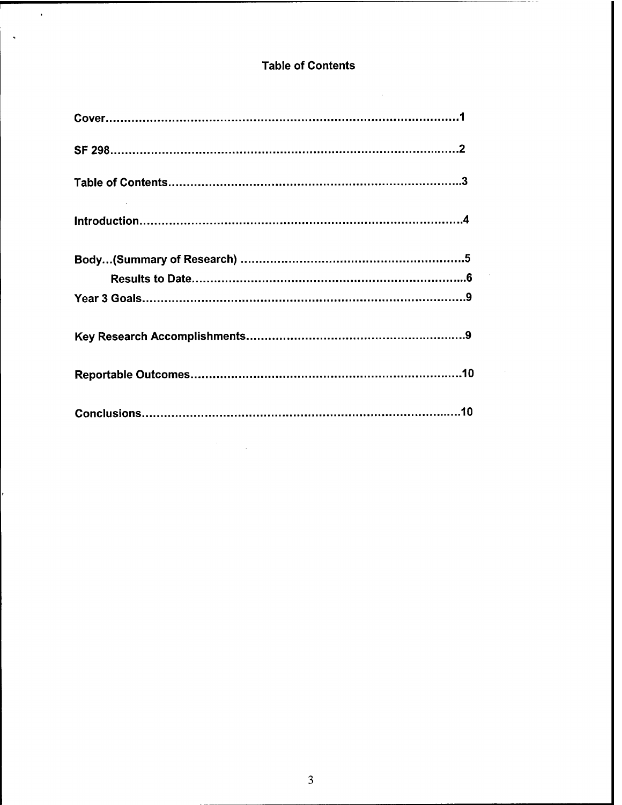# Table of Contents

 $\sim 10^7$ 

l,

Г

 $\ddot{\phantom{0}}$ 

 $\ddot{\phantom{a}}$ 

 $\mathcal{O}(\mathcal{O}_\mathcal{O})$  .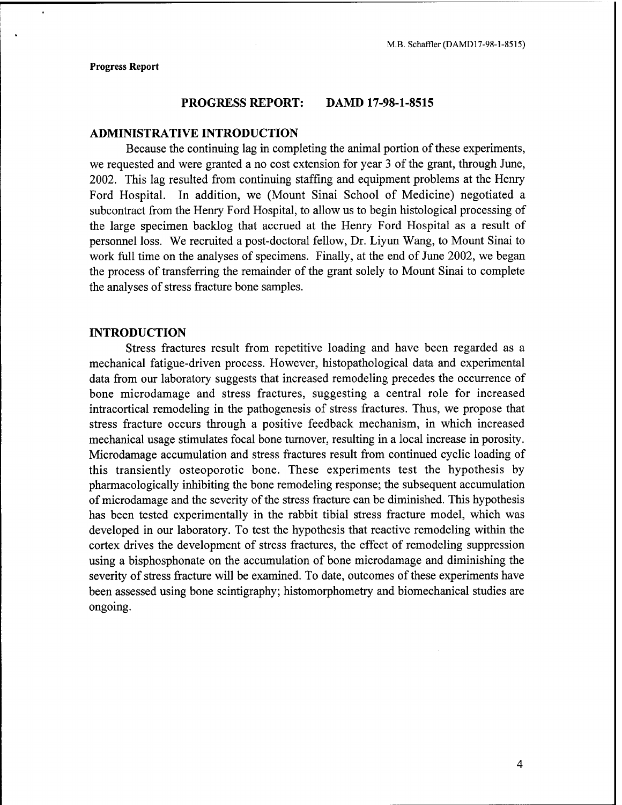#### **PROGRESS REPORT: DAMD 17-98-1-8515**

## **ADMINISTRATIVE INTRODUCTION**

Because the continuing lag in completing the animal portion of these experiments, we requested and were granted a no cost extension for year <sup>3</sup> of the grant, through June, 2002. This lag resulted from continuing staffing and equipment problems at the Henry Ford Hospital. In addition, we (Mount Sinai School of Medicine) negotiated a subcontract from the Henry Ford Hospital, to allow us to begin histological processing of the large specimen backlog that accrued at the Henry Ford Hospital as a result of personnel loss. We recruited a post-doctoral fellow, Dr. Liyun Wang, to Mount Sinai to work full time on the analyses of specimens. Finally, at the end of June 2002, we began the process of transferring the remainder of the grant solely to Mount Sinai to complete the analyses of stress fracture bone samples.

# **INTRODUCTION**

Stress fractures result from repetitive loading and have been regarded as a mechanical fatigue-driven process. However, histopathological data and experimental data from our laboratory suggests that increased remodeling precedes the occurrence of bone microdamage and stress fractures, suggesting a central role for increased intracortical remodeling in the pathogenesis of stress fractures. Thus, we propose that stress fracture occurs through a positive feedback mechanism, in which increased mechanical usage stimulates focal bone turnover, resulting in a local increase in porosity. Microdamage accumulation and stress fractures result from continued cyclic loading of this transiently osteoporotic bone. These experiments test the hypothesis by pharmacologically inhibiting the bone remodeling response; the subsequent accumulation of microdamage and the severity of the stress fracture can be diminished. This hypothesis has been tested experimentally in the rabbit tibial stress fracture model, which was developed in our laboratory. To test the hypothesis that reactive remodeling within the cortex drives the development of stress fractures, the effect of remodeling suppression using a bisphosphonate on the accumulation of bone microdamage and diminishing the severity of stress fracture will be examined. To date, outcomes of these experiments have been assessed using bone scintigraphy; histomorphometry and biomechanical studies are ongoing.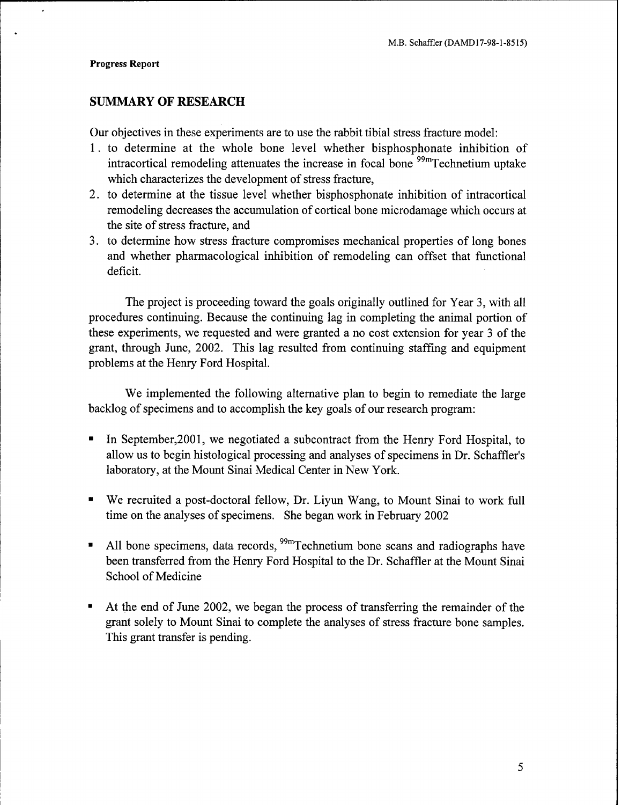# **SUMMARY OF RESEARCH**

Our objectives in these experiments are to use the rabbit tibial stress fracture model:

- 1. to determine at the whole bone level whether bisphosphonate inhibition of intracortical remodeling attenuates the increase in focal bone <sup>99m</sup>Technetium uptake which characterizes the development of stress fracture,
- 2. to determine at the tissue level whether bisphosphonate inhibition of intracortical remodeling decreases the accumulation of cortical bone microdamage which occurs at the site of stress fracture, and
- 3. to determine how stress fracture compromises mechanical properties of long bones and whether pharmacological inhibition of remodeling can offset that functional deficit.

The project is proceeding toward the goals originally outlined for Year 3, with all procedures continuing. Because the continuing lag in completing the animal portion of these experiments, we requested and were granted a no cost extension for year 3 of the grant, through June, 2002. This lag resulted from continuing staffing and equipment problems at the Henry Ford Hospital.

We implemented the following alternative plan to begin to remediate the large backlog of specimens and to accomplish the key goals of our research program:

- In September,2001, we negotiated a subcontract from the Henry Ford Hospital, to  $\blacksquare$ allow us to begin histological processing and analyses of specimens in Dr. Schaffler's laboratory, at the Mount Sinai Medical Center in New York.
- We recruited a post-doctoral fellow, Dr. Liyun Wang, to Mount Sinai to work full time on the analyses of specimens. She began work in February 2002
- All bone specimens, data records, <sup>99m</sup>Technetium bone scans and radiographs have  $\blacksquare$ been transferred from the Henry Ford Hospital to the Dr. Schaffler at the Mount Sinai School of Medicine
- At the end of June 2002, we began the process of transferring the remainder of the  $\blacksquare$ grant solely to Mount Sinai to complete the analyses of stress fracture bone samples. This grant transfer is pending.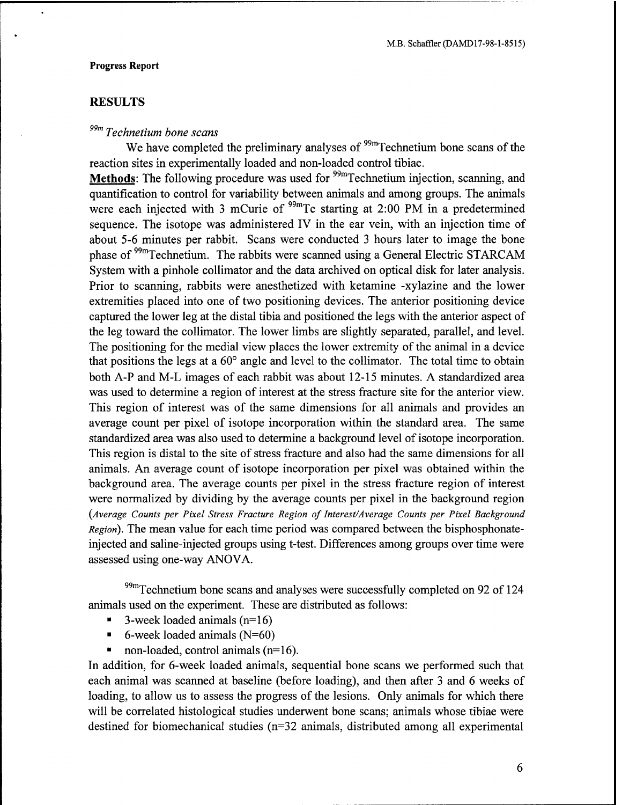# **RESULTS**

# *99m Technetium bone scans*

We have completed the preliminary analyses of  $\frac{99 \text{m}}{2}$  Technetium bone scans of the reaction sites in experimentally loaded and non-loaded control tibiae.

**Methods:** The following procedure was used for <sup>99m</sup>Technetium injection, scanning, and quantification to control for variability between animals and among groups. The animals were each injected with 3 mCurie of  $^{99m}$ Tc starting at 2:00 PM in a predetermined sequence. The isotope was administered IV in the ear vein, with an injection time of about 5-6 minutes per rabbit. Scans were conducted 3 hours later to image the bone phase of <sup>99m</sup>Technetium. The rabbits were scanned using a General Electric STARCAM System with a pinhole collimator and the data archived on optical disk for later analysis. Prior to scanning, rabbits were anesthetized with ketamine -xylazine and the lower extremities placed into one of two positioning devices. The anterior positioning device captured the lower leg at the distal tibia and positioned the legs with the anterior aspect of the leg toward the collimator. The lower limbs are slightly separated, parallel, and level. The positioning for the medial view places the lower extremity of the animal in a device that positions the legs at a  $60^{\circ}$  angle and level to the collimator. The total time to obtain both A-P and M-L images of each rabbit was about 12-15 minutes. A standardized area was used to determine a region of interest at the stress fracture site for the anterior view. This region of interest was of the same dimensions for all animals and provides an average count per pixel of isotope incorporation within the standard area. The same standardized area was also used to determine a background level of isotope incorporation. This region is distal to the site of stress fracture and also had the same dimensions for all animals. An average count of isotope incorporation per pixel was obtained within the background area. The average counts per pixel in the stress fracture region of interest were normalized by dividing by the average counts per pixel in the background region *{Average Counts per Pixel Stress Fracture Region of Interest/Average Counts per Pixel Background Region).* The mean value for each time period was compared between the bisphosphonateinjected and saline-injected groups using t-test. Differences among groups over time were assessed using one-way ANOVA.

 $99m$ Technetium bone scans and analyses were successfully completed on 92 of 124 animals used on the experiment. These are distributed as follows:

- 3-week loaded animals  $(n=16)$
- $\blacksquare$ 6-week loaded animals (N=60)
- non-loaded, control animals (n=16).

In addition, for 6-week loaded animals, sequential bone scans we performed such that each animal was scanned at baseline (before loading), and then after <sup>3</sup> and 6 weeks of loading, to allow us to assess the progress of the lesions. Only animals for which there will be correlated histological studies underwent bone scans; animals whose tibiae were destined for biomechanical studies (n=32 animals, distributed among all experimental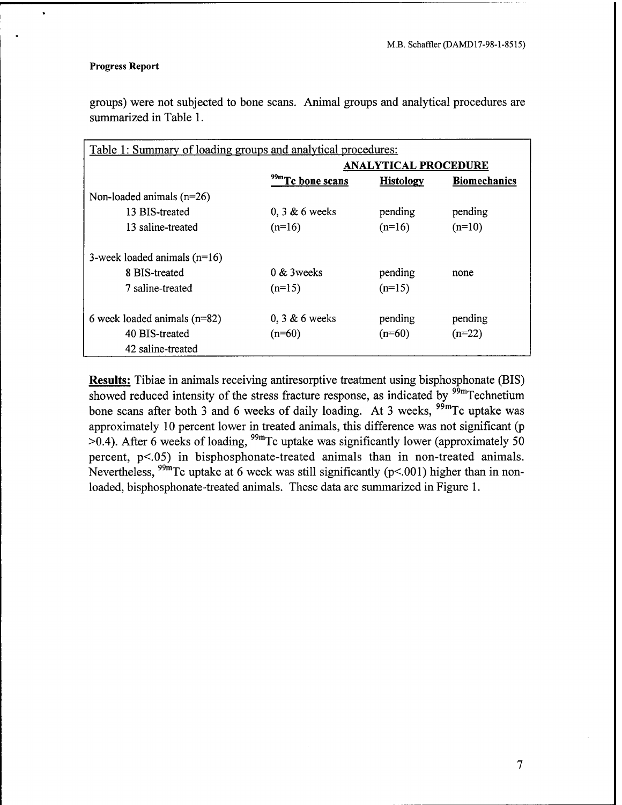$\ddot{\phantom{0}}$ 

groups) were not subjected to bone scans. Animal groups and analytical procedures are summarized in Table 1.

| Table 1: Summary of loading groups and analytical procedures: |                              |                  |                     |  |  |  |  |
|---------------------------------------------------------------|------------------------------|------------------|---------------------|--|--|--|--|
|                                                               | <b>ANALYTICAL PROCEDURE</b>  |                  |                     |  |  |  |  |
|                                                               | <sup>99m</sup> Tc bone scans | <b>Histology</b> | <b>Biomechanics</b> |  |  |  |  |
| Non-loaded animals $(n=26)$                                   |                              |                  |                     |  |  |  |  |
| 13 BIS-treated                                                | $0, 3 \& 6$ weeks            | pending          | pending             |  |  |  |  |
| 13 saline-treated                                             | $(n=16)$                     | $(n=16)$         | $(n=10)$            |  |  |  |  |
| 3-week loaded animals $(n=16)$                                |                              |                  |                     |  |  |  |  |
| 8 BIS-treated                                                 | $0 & 3$ weeks                | pending          | none                |  |  |  |  |
| 7 saline-treated                                              | $(n=15)$                     | $(n=15)$         |                     |  |  |  |  |
| 6 week loaded animals $(n=82)$                                | $0, 3 \& 6$ weeks            | pending          | pending             |  |  |  |  |
| 40 BIS-treated                                                | $(n=60)$                     | $(n=60)$         | $(n=22)$            |  |  |  |  |
| 42 saline-treated                                             |                              |                  |                     |  |  |  |  |

**Results:** Tibiae in animals receiving antiresorptive treatment using bisphosphonate (BIS) showed reduced intensity of the stress fracture response, as indicated by  $99m$ Technetium bone scans after both 3 and 6 weeks of daily loading. At 3 weeks,  $99 \text{ m}$ Tc uptake was approximately 10 percent lower in treated animals, this difference was not significant (p  $>0.4$ ). After 6 weeks of loading, <sup>99m</sup>Tc uptake was significantly lower (approximately 50) percent, p<.05) in bisphosphonate-treated animals than in non-treated animals. Nevertheless,  $^{99m}$ Tc uptake at 6 week was still significantly (p<.001) higher than in nonloaded, bisphosphonate-treated animals. These data are summarized in Figure 1.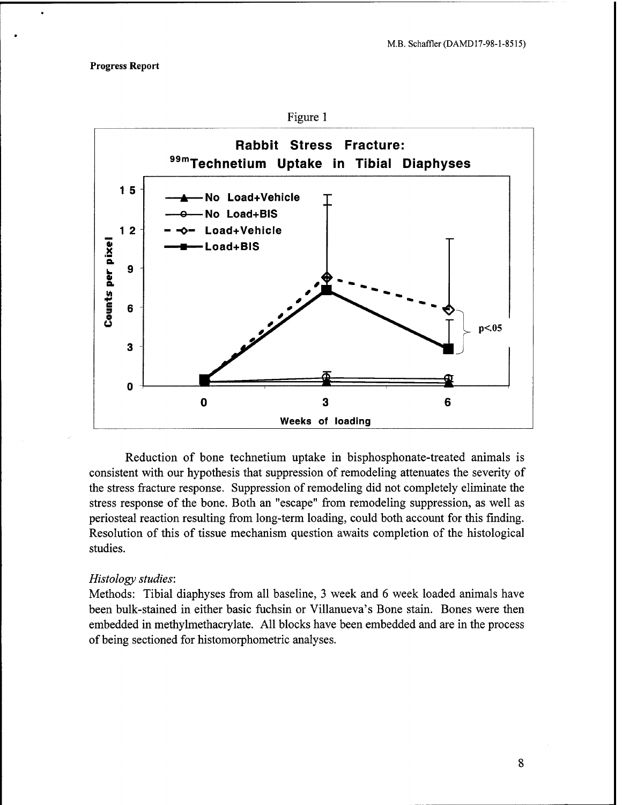

Reduction of bone technetium uptake in bisphosphonate-treated animals is consistent with our hypothesis that suppression of remodeling attenuates the severity of the stress fracture response. Suppression of remodeling did not completely eliminate the stress response of the bone. Both an "escape" from remodeling suppression, as well as periosteal reaction resulting from long-term loading, could both account for this finding. Resolution of this of tissue mechanism question awaits completion of the histological studies.

#### *Histology studies:*

Methods: Tibial diaphyses from all baseline, 3 week and 6 week loaded animals have been bulk-stained in either basic fuchsin or Villanueva's Bone stain. Bones were then embedded in methylmethacrylate. All blocks have been embedded and are in the process of being sectioned for histomorphometric analyses.

8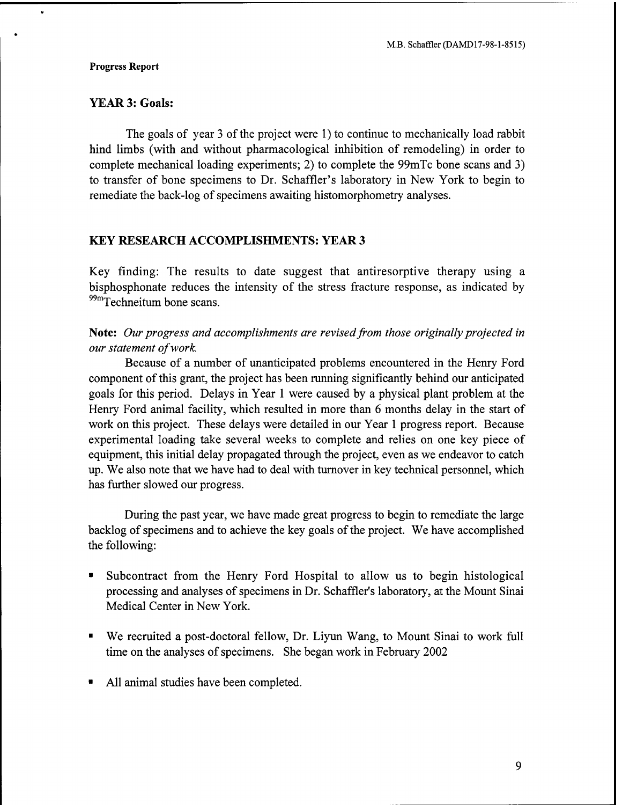$\bullet$ 

# YEAR 3: Goals:

The goals of year <sup>3</sup> of the project were 1) to continue to mechanically load rabbit hind limbs (with and without pharmacological inhibition of remodeling) in order to complete mechanical loading experiments; 2) to complete the 99mTc bone scans and 3) to transfer of bone specimens to Dr. Schaffler's laboratory in New York to begin to remediate the back-log of specimens awaiting histomorphometry analyses.

# **KEY RESEARCH ACCOMPLISHMENTS: YEAR 3**

Key finding: The results to date suggest that antiresorptive therapy using a bisphosphonate reduces the intensity of the stress fracture response, as indicated by <sup>99m</sup>Techneitum bone scans.

# **Note:** *Our progress and accomplishments are revisedfrom those originally projected in our statement ofwork.*

Because of a number of unanticipated problems encountered in the Henry Ford component of this grant, the project has been running significantly behind our anticipated goals for this period. Delays in Year <sup>1</sup> were caused by a physical plant problem at the Henry Ford animal facility, which resulted in more than 6 months delay in the start of work on this project. These delays were detailed in our Year <sup>1</sup> progress report. Because experimental loading take several weeks to complete and relies on one key piece of equipment, this initial delay propagated through the project, even as we endeavor to catch up. We also note that we have had to deal with turnover in key technical personnel, which has further slowed our progress.

During the past year, we have made great progress to begin to remediate the large backlog of specimens and to achieve the key goals of the project. We have accomplished the following:

- Subcontract from the Henry Ford Hospital to allow us to begin histological processing and analyses of specimens in Dr. Schaffler's laboratory, at the Mount Sinai Medical Center in New York.
- $\blacksquare$ We recruited a post-doctoral fellow, Dr. Liyun Wang, to Mount Sinai to work full time on the analyses of specimens. She began work in February 2002
- All animal studies have been completed.